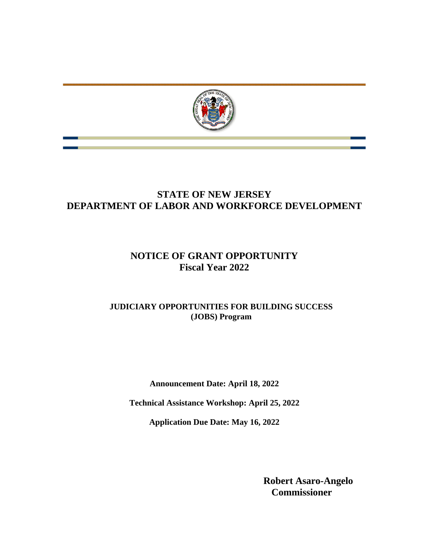

# **STATE OF NEW JERSEY DEPARTMENT OF LABOR AND WORKFORCE DEVELOPMENT**

# **NOTICE OF GRANT OPPORTUNITY Fiscal Year 2022**

## **JUDICIARY OPPORTUNITIES FOR BUILDING SUCCESS (JOBS) Program**

**Announcement Date: April 18, 2022**

**Technical Assistance Workshop: April 25, 2022**

**Application Due Date: May 16, 2022**

**Robert Asaro-Angelo Commissioner**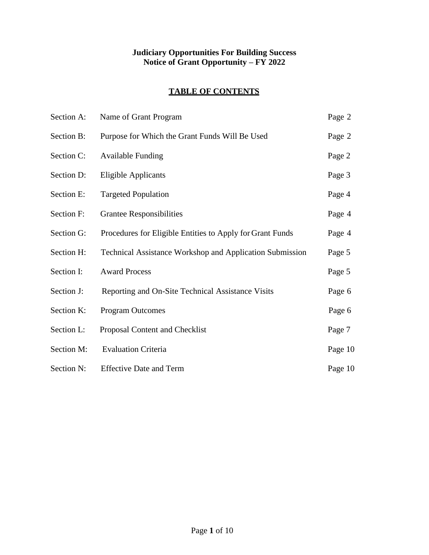## **Judiciary Opportunities For Building Success Notice of Grant Opportunity – FY 2022**

## **TABLE OF CONTENTS**

| Section A: | Name of Grant Program                                           | Page 2  |
|------------|-----------------------------------------------------------------|---------|
| Section B: | Purpose for Which the Grant Funds Will Be Used                  | Page 2  |
| Section C: | <b>Available Funding</b>                                        | Page 2  |
| Section D: | <b>Eligible Applicants</b>                                      | Page 3  |
| Section E: | <b>Targeted Population</b>                                      | Page 4  |
| Section F: | <b>Grantee Responsibilities</b>                                 | Page 4  |
| Section G: | Procedures for Eligible Entities to Apply for Grant Funds       | Page 4  |
| Section H: | <b>Technical Assistance Workshop and Application Submission</b> | Page 5  |
| Section I: | <b>Award Process</b>                                            | Page 5  |
| Section J: | Reporting and On-Site Technical Assistance Visits               | Page 6  |
| Section K: | <b>Program Outcomes</b>                                         | Page 6  |
| Section L: | Proposal Content and Checklist                                  | Page 7  |
| Section M: | <b>Evaluation Criteria</b>                                      | Page 10 |
| Section N: | <b>Effective Date and Term</b>                                  | Page 10 |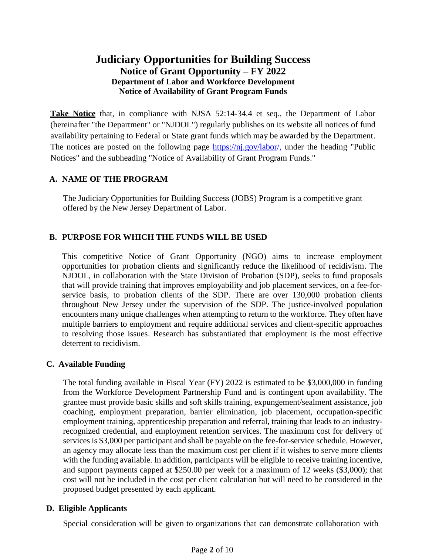## **Judiciary Opportunities for Building Success Notice of Grant Opportunity – FY 2022 Department of Labor and Workforce Development Notice of Availability of Grant Program Funds**

**Take Notice** that, in compliance with NJSA 52:14-34.4 et seq., the Department of Labor (hereinafter "the Department" or "NJDOL") regularly publishes on its website all notices of fund availability pertaining to Federal or State grant funds which may be awarded by the Department. The notices are posted on the following page [https://nj.gov/labor/](https://nj.gov/labor)[,](http://lwd.dol.state.nj.us/labor) under the heading "Public Notices" and the subheading "Notice of Availability of Grant Program Funds."

#### **A. NAME OF THE PROGRAM**

The Judiciary Opportunities for Building Success (JOBS) Program is a competitive grant offered by the New Jersey Department of Labor.

### **B. PURPOSE FOR WHICH THE FUNDS WILL BE USED**

This competitive Notice of Grant Opportunity (NGO) aims to increase employment opportunities for probation clients and significantly reduce the likelihood of recidivism. The NJDOL, in collaboration with the State Division of Probation (SDP), seeks to fund proposals that will provide training that improves employability and job placement services, on a fee-forservice basis, to probation clients of the SDP. There are over 130,000 probation clients throughout New Jersey under the supervision of the SDP. The justice-involved population encounters many unique challenges when attempting to return to the workforce. They often have multiple barriers to employment and require additional services and client-specific approaches to resolving those issues. Research has substantiated that employment is the most effective deterrent to recidivism.

#### **C. Available Funding**

The total funding available in Fiscal Year (FY) 2022 is estimated to be \$3,000,000 in funding from the Workforce Development Partnership Fund and is contingent upon availability. The grantee must provide basic skills and soft skills training, expungement/sealment assistance, job coaching, employment preparation, barrier elimination, job placement, occupation-specific employment training, apprenticeship preparation and referral, training that leads to an industryrecognized credential, and employment retention services. The maximum cost for delivery of services is \$3,000 per participant and shall be payable on the fee-for-service schedule. However, an agency may allocate less than the maximum cost per client if it wishes to serve more clients with the funding available. In addition, participants will be eligible to receive training incentive, and support payments capped at \$250.00 per week for a maximum of 12 weeks (\$3,000); that cost will not be included in the cost per client calculation but will need to be considered in the proposed budget presented by each applicant.

#### **D. Eligible Applicants**

Special consideration will be given to organizations that can demonstrate collaboration with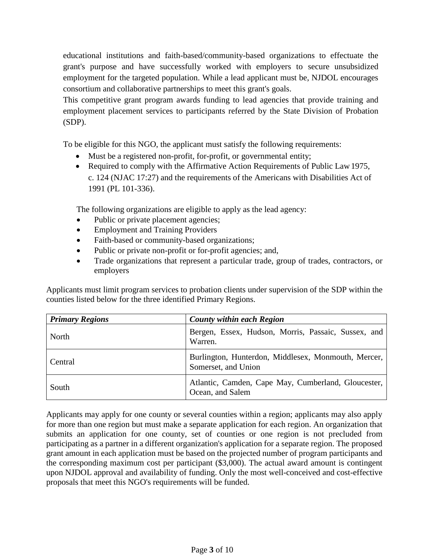educational institutions and faith-based/community-based organizations to effectuate the grant's purpose and have successfully worked with employers to secure unsubsidized employment for the targeted population. While a lead applicant must be, NJDOL encourages consortium and collaborative partnerships to meet this grant's goals.

This competitive grant program awards funding to lead agencies that provide training and employment placement services to participants referred by the State Division of Probation (SDP).

To be eligible for this NGO, the applicant must satisfy the following requirements:

- Must be a registered non-profit, for-profit, or governmental entity;
- Required to comply with the Affirmative Action Requirements of Public Law 1975, c. 124 (NJAC 17:27) and the requirements of the Americans with Disabilities Act of 1991 (PL 101-336).

The following organizations are eligible to apply as the lead agency:

- Public or private placement agencies;
- Employment and Training Providers
- Faith-based or community-based organizations;
- Public or private non-profit or for-profit agencies; and,
- Trade organizations that represent a particular trade, group of trades, contractors, or employers

Applicants must limit program services to probation clients under supervision of the SDP within the counties listed below for the three identified Primary Regions.

| <b>Primary Regions</b> | <b>County within each Region</b>                                           |
|------------------------|----------------------------------------------------------------------------|
| North                  | Bergen, Essex, Hudson, Morris, Passaic, Sussex, and<br>Warren.             |
| Central                | Burlington, Hunterdon, Middlesex, Monmouth, Mercer,<br>Somerset, and Union |
| South                  | Atlantic, Camden, Cape May, Cumberland, Gloucester,<br>Ocean, and Salem    |

Applicants may apply for one county or several counties within a region; applicants may also apply for more than one region but must make a separate application for each region. An organization that submits an application for one county, set of counties or one region is not precluded from participating as a partner in a different organization's application for a separate region. The proposed grant amount in each application must be based on the projected number of program participants and the corresponding maximum cost per participant (\$3,000). The actual award amount is contingent upon NJDOL approval and availability of funding. Only the most well-conceived and cost-effective proposals that meet this NGO's requirements will be funded.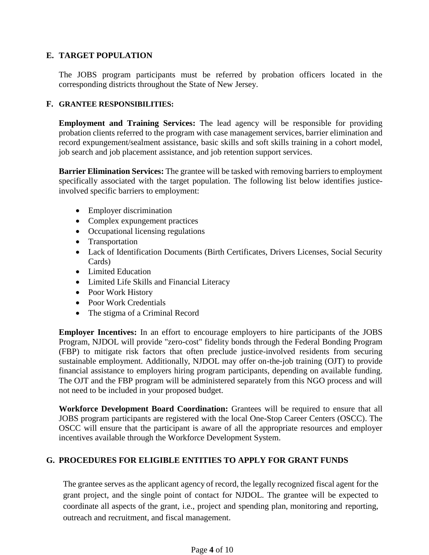#### **E. TARGET POPULATION**

The JOBS program participants must be referred by probation officers located in the corresponding districts throughout the State of New Jersey.

#### **F. GRANTEE RESPONSIBILITIES:**

**Employment and Training Services:** The lead agency will be responsible for providing probation clients referred to the program with case management services, barrier elimination and record expungement/sealment assistance, basic skills and soft skills training in a cohort model, job search and job placement assistance, and job retention support services.

**Barrier Elimination Services:** The grantee will be tasked with removing barriers to employment specifically associated with the target population. The following list below identifies justiceinvolved specific barriers to employment:

- Employer discrimination
- Complex expungement practices
- Occupational licensing regulations
- Transportation
- Lack of Identification Documents (Birth Certificates, Drivers Licenses, Social Security Cards)
- Limited Education
- Limited Life Skills and Financial Literacy
- Poor Work History
- Poor Work Credentials
- The stigma of a Criminal Record

**Employer Incentives:** In an effort to encourage employers to hire participants of the JOBS Program, NJDOL will provide "zero-cost" fidelity bonds through the Federal Bonding Program (FBP) to mitigate risk factors that often preclude justice-involved residents from securing sustainable employment. Additionally, NJDOL may offer on-the-job training (OJT) to provide financial assistance to employers hiring program participants, depending on available funding. The OJT and the FBP program will be administered separately from this NGO process and will not need to be included in your proposed budget.

**Workforce Development Board Coordination:** Grantees will be required to ensure that all JOBS program participants are registered with the local One-Stop Career Centers (OSCC). The OSCC will ensure that the participant is aware of all the appropriate resources and employer incentives available through the Workforce Development System.

## **G. PROCEDURES FOR ELIGIBLE ENTITIES TO APPLY FOR GRANT FUNDS**

The grantee serves as the applicant agency of record, the legally recognized fiscal agent for the grant project, and the single point of contact for NJDOL. The grantee will be expected to coordinate all aspects of the grant, i.e., project and spending plan, monitoring and reporting, outreach and recruitment, and fiscal management.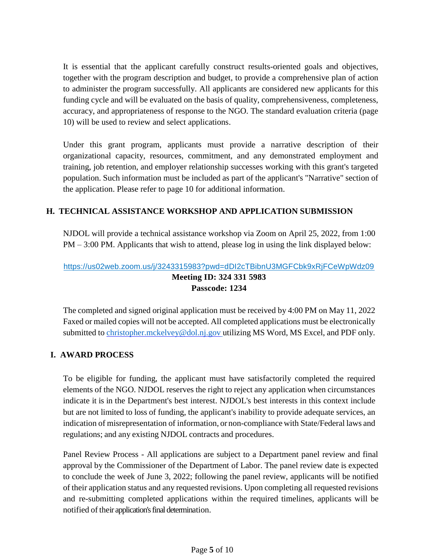It is essential that the applicant carefully construct results-oriented goals and objectives, together with the program description and budget, to provide a comprehensive plan of action to administer the program successfully. All applicants are considered new applicants for this funding cycle and will be evaluated on the basis of quality, comprehensiveness, completeness, accuracy, and appropriateness of response to the NGO. The standard evaluation criteria (page 10) will be used to review and select applications.

Under this grant program, applicants must provide a narrative description of their organizational capacity, resources, commitment, and any demonstrated employment and training, job retention, and employer relationship successes working with this grant's targeted population. Such information must be included as part of the applicant's "Narrative" section of the application. Please refer to page 10 for additional information.

#### **H. TECHNICAL ASSISTANCE WORKSHOP AND APPLICATION SUBMISSION**

NJDOL will provide a technical assistance workshop via Zoom on April 25, 2022, from 1:00 PM – 3:00 PM. Applicants that wish to attend, please log in using the link displayed below:

## [https://us02web.zoom.us/j/3243315983?pwd=dDI2cTBibnU3MGFCbk9xRjFCeWpWdz09](https://www.google.com/url?q=https://us02web.zoom.us/j/3243315983?pwd%3DdDI2cTBibnU3MGFCbk9xRjFCeWpWdz09&sa=D&source=calendar&ust=1618854751643000&usg=AOvVaw1AXPDCkAx1O3ZMSDsMhR4O) **Meeting ID: 324 331 5983 Passcode: 1234**

The completed and signed original application must be received by 4:00 PM on May 11, 2022 Faxed or mailed copies will not be accepted. All completed applications must be electronically submitted to [christopher.mckelvey@dol.nj.gov](mailto:christopher.mckelvey@dol.nj.gov) utilizing MS Word, MS Excel, and PDF only.

#### **I. AWARD PROCESS**

To be eligible for funding, the applicant must have satisfactorily completed the required elements of the NGO. NJDOL reserves the right to reject any application when circumstances indicate it is in the Department's best interest. NJDOL's best interests in this context include but are not limited to loss of funding, the applicant's inability to provide adequate services, an indication of misrepresentation of information, or non-compliance with State/Federal laws and regulations; and any existing NJDOL contracts and procedures.

Panel Review Process - All applications are subject to a Department panel review and final approval by the Commissioner of the Department of Labor. The panel review date is expected to conclude the week of June 3, 2022; following the panel review, applicants will be notified of their application status and any requested revisions. Upon completing all requested revisions and re-submitting completed applications within the required timelines, applicants will be notified of their application's final determination.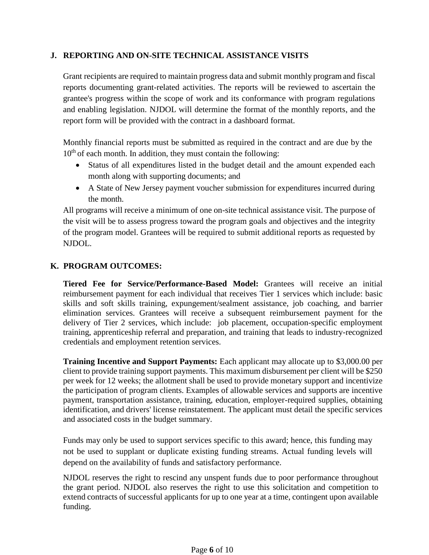#### **J. REPORTING AND ON-SITE TECHNICAL ASSISTANCE VISITS**

Grant recipients are required to maintain progress data and submit monthly program and fiscal reports documenting grant-related activities. The reports will be reviewed to ascertain the grantee's progress within the scope of work and its conformance with program regulations and enabling legislation. NJDOL will determine the format of the monthly reports, and the report form will be provided with the contract in a dashboard format.

Monthly financial reports must be submitted as required in the contract and are due by the 10<sup>th</sup> of each month. In addition, they must contain the following:

- Status of all expenditures listed in the budget detail and the amount expended each month along with supporting documents; and
- A State of New Jersey payment voucher submission for expenditures incurred during the month.

All programs will receive a minimum of one on-site technical assistance visit. The purpose of the visit will be to assess progress toward the program goals and objectives and the integrity of the program model. Grantees will be required to submit additional reports as requested by NJDOL.

### **K. PROGRAM OUTCOMES:**

**Tiered Fee for Service/Performance-Based Model:** Grantees will receive an initial reimbursement payment for each individual that receives Tier 1 services which include: basic skills and soft skills training, expungement/sealment assistance, job coaching, and barrier elimination services. Grantees will receive a subsequent reimbursement payment for the delivery of Tier 2 services, which include: job placement, occupation-specific employment training, apprenticeship referral and preparation, and training that leads to industry-recognized credentials and employment retention services.

**Training Incentive and Support Payments:** Each applicant may allocate up to \$3,000.00 per client to provide training support payments. This maximum disbursement per client will be \$250 per week for 12 weeks; the allotment shall be used to provide monetary support and incentivize the participation of program clients. Examples of allowable services and supports are incentive payment, transportation assistance, training, education, employer-required supplies, obtaining identification, and drivers' license reinstatement. The applicant must detail the specific services and associated costs in the budget summary.

Funds may only be used to support services specific to this award; hence, this funding may not be used to supplant or duplicate existing funding streams. Actual funding levels will depend on the availability of funds and satisfactory performance.

NJDOL reserves the right to rescind any unspent funds due to poor performance throughout the grant period. NJDOL also reserves the right to use this solicitation and competition to extend contracts of successful applicants for up to one year at a time, contingent upon available funding.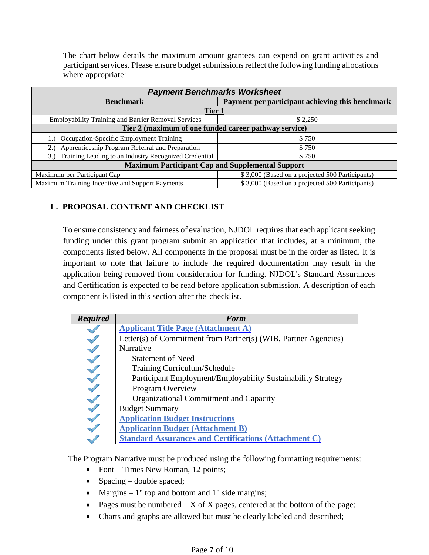The chart below details the maximum amount grantees can expend on grant activities and participant services. Please ensure budget submissions reflect the following funding allocations where appropriate:

| <b>Payment Benchmarks Worksheet</b>                        |                                                  |  |  |  |  |
|------------------------------------------------------------|--------------------------------------------------|--|--|--|--|
| <b>Benchmark</b>                                           | Payment per participant achieving this benchmark |  |  |  |  |
| Tier 1                                                     |                                                  |  |  |  |  |
| <b>Employability Training and Barrier Removal Services</b> | \$2,250                                          |  |  |  |  |
| Tier 2 (maximum of one funded career pathway service)      |                                                  |  |  |  |  |
| 1.) Occupation-Specific Employment Training                | \$750                                            |  |  |  |  |
| Apprenticeship Program Referral and Preparation            | \$750                                            |  |  |  |  |
| 3.) Training Leading to an Industry Recognized Credential  | \$750                                            |  |  |  |  |
| <b>Maximum Participant Cap and Supplemental Support</b>    |                                                  |  |  |  |  |
| Maximum per Participant Cap                                | \$3,000 (Based on a projected 500 Participants)  |  |  |  |  |
| Maximum Training Incentive and Support Payments            | \$3,000 (Based on a projected 500 Participants)  |  |  |  |  |

#### **L. PROPOSAL CONTENT AND CHECKLIST**

To ensure consistency and fairness of evaluation, NJDOL requires that each applicant seeking funding under this grant program submit an application that includes, at a minimum, the components listed below. All components in the proposal must be in the order as listed. It is important to note that failure to include the required documentation may result in the application being removed from consideration for funding. NJDOL's Standard Assurances and Certification is expected to be read before application submission. A description of each component is listed in this section after the checklist.

| <b>Required</b> | Form                                                            |
|-----------------|-----------------------------------------------------------------|
|                 | <b>Applicant Title Page (Attachment A)</b>                      |
|                 | Letter(s) of Commitment from Partner(s) (WIB, Partner Agencies) |
|                 | Narrative                                                       |
|                 | <b>Statement of Need</b>                                        |
|                 | Training Curriculum/Schedule                                    |
|                 | Participant Employment/Employability Sustainability Strategy    |
|                 | Program Overview                                                |
|                 | Organizational Commitment and Capacity                          |
|                 | <b>Budget Summary</b>                                           |
|                 | <b>Application Budget Instructions</b>                          |
|                 | <b>Application Budget (Attachment B)</b>                        |
|                 | <b>Standard Assurances and Certifications (Attachment C)</b>    |

The Program Narrative must be produced using the following formatting requirements:

- Font Times New Roman, 12 points;
- Spacing double spaced;
- Margins  $-1$ " top and bottom and 1" side margins;
- Pages must be numbered  $-X$  of X pages, centered at the bottom of the page;
- Charts and graphs are allowed but must be clearly labeled and described;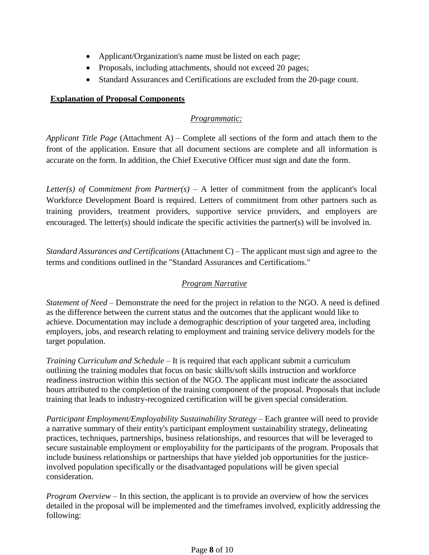- Applicant/Organization's name must be listed on each page;
- Proposals, including attachments, should not exceed 20 pages;
- Standard Assurances and Certifications are excluded from the 20-page count.

#### **Explanation of Proposal Components**

## *Programmatic:*

*Applicant Title Page* (Attachment A) *–* Complete all sections of the form and attach them to the front of the application. Ensure that all document sections are complete and all information is accurate on the form. In addition, the Chief Executive Officer must sign and date the form.

*Letter(s) of Commitment from Partner(s) –* A letter of commitment from the applicant's local Workforce Development Board is required. Letters of commitment from other partners such as training providers, treatment providers, supportive service providers, and employers are encouraged. The letter(s) should indicate the specific activities the partner(s) will be involved in.

*Standard Assurances and Certifications* (Attachment C) – The applicant must sign and agree to the terms and conditions outlined in the "Standard Assurances and Certifications."

## *Program Narrative*

*Statement of Need* – Demonstrate the need for the project in relation to the NGO. A need is defined as the difference between the current status and the outcomes that the applicant would like to achieve. Documentation may include a demographic description of your targeted area, including employers, jobs, and research relating to employment and training service delivery models for the target population.

*Training Curriculum and Schedule* – It is required that each applicant submit a curriculum outlining the training modules that focus on basic skills/soft skills instruction and workforce readiness instruction within this section of the NGO. The applicant must indicate the associated hours attributed to the completion of the training component of the proposal. Proposals that include training that leads to industry-recognized certification will be given special consideration.

*Participant Employment/Employability Sustainability Strategy* – Each grantee will need to provide a narrative summary of their entity's participant employment sustainability strategy, delineating practices, techniques, partnerships, business relationships, and resources that will be leveraged to secure sustainable employment or employability for the participants of the program. Proposals that include business relationships or partnerships that have yielded job opportunities for the justiceinvolved population specifically or the disadvantaged populations will be given special consideration.

*Program Overview* – In this section, the applicant is to provide an overview of how the services detailed in the proposal will be implemented and the timeframes involved, explicitly addressing the following: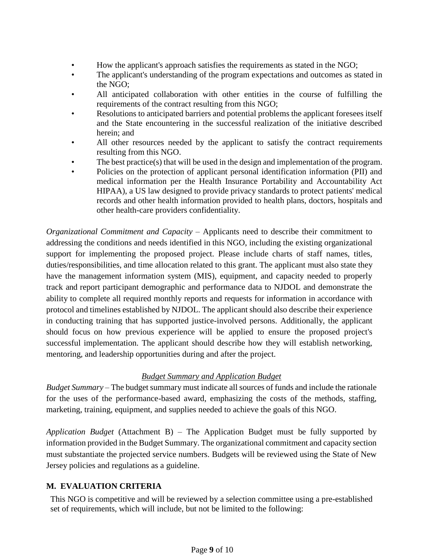- How the applicant's approach satisfies the requirements as stated in the NGO;
- The applicant's understanding of the program expectations and outcomes as stated in the NGO;
- All anticipated collaboration with other entities in the course of fulfilling the requirements of the contract resulting from this NGO;
- Resolutions to anticipated barriers and potential problems the applicant foresees itself and the State encountering in the successful realization of the initiative described herein; and
- All other resources needed by the applicant to satisfy the contract requirements resulting from this NGO.
- The best practice(s) that will be used in the design and implementation of the program.
- Policies on the protection of applicant personal identification information (PII) and medical information per the Health Insurance Portability and Accountability Act HIPAA), a US law designed to provide privacy standards to protect patients' medical records and other health information provided to health plans, doctors, hospitals and other health-care providers confidentiality.

*Organizational Commitment and Capacity* – Applicants need to describe their commitment to addressing the conditions and needs identified in this NGO, including the existing organizational support for implementing the proposed project. Please include charts of staff names, titles, duties/responsibilities, and time allocation related to this grant. The applicant must also state they have the management information system (MIS), equipment, and capacity needed to properly track and report participant demographic and performance data to NJDOL and demonstrate the ability to complete all required monthly reports and requests for information in accordance with protocol and timelines established by NJDOL. The applicant should also describe their experience in conducting training that has supported justice-involved persons. Additionally, the applicant should focus on how previous experience will be applied to ensure the proposed project's successful implementation. The applicant should describe how they will establish networking, mentoring, and leadership opportunities during and after the project.

## *Budget Summary and Application Budget*

*Budget Summary –* The budget summary must indicate all sources of funds and include the rationale for the uses of the performance-based award, emphasizing the costs of the methods, staffing, marketing, training, equipment, and supplies needed to achieve the goals of this NGO.

*Application Budget* (Attachment B) *–* The Application Budget must be fully supported by information provided in the Budget Summary. The organizational commitment and capacity section must substantiate the projected service numbers. Budgets will be reviewed using the State of New Jersey policies and regulations as a guideline.

## **M. EVALUATION CRITERIA**

This NGO is competitive and will be reviewed by a selection committee using a pre-established set of requirements, which will include, but not be limited to the following: